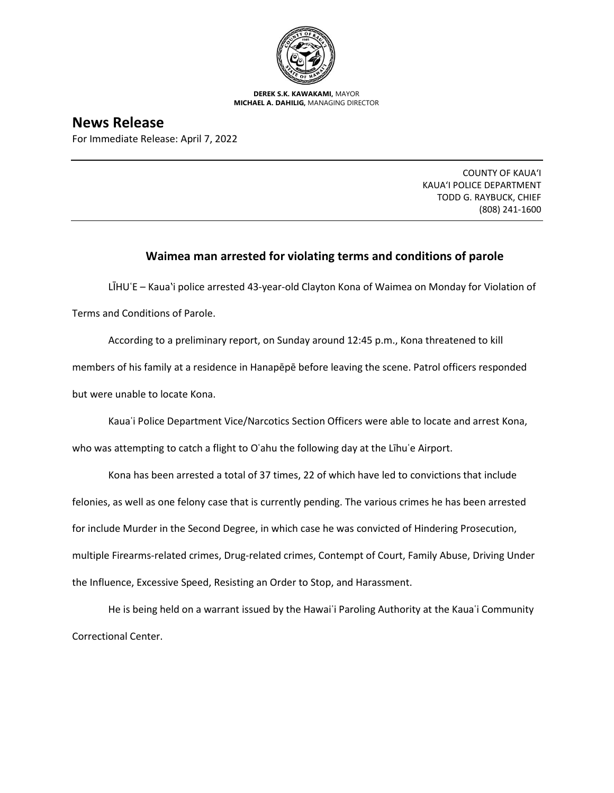

**DEREK S.K. KAWAKAMI,** MAYOR **MICHAEL A. DAHILIG,** MANAGING DIRECTOR

**News Release** For Immediate Release: April 7, 2022

> COUNTY OF KAUA'I KAUA'I POLICE DEPARTMENT TODD G. RAYBUCK, CHIEF (808) 241-1600

## **Waimea man arrested for violating terms and conditions of parole**

LĪHUʿE – Kauaʽi police arrested 43-year-old Clayton Kona of Waimea on Monday for Violation of Terms and Conditions of Parole.

According to a preliminary report, on Sunday around 12:45 p.m., Kona threatened to kill members of his family at a residence in Hanapēpē before leaving the scene. Patrol officers responded but were unable to locate Kona.

Kauaʿi Police Department Vice/Narcotics Section Officers were able to locate and arrest Kona,

who was attempting to catch a flight to O'ahu the following day at the Līhu'e Airport.

Kona has been arrested a total of 37 times, 22 of which have led to convictions that include felonies, as well as one felony case that is currently pending. The various crimes he has been arrested for include Murder in the Second Degree, in which case he was convicted of Hindering Prosecution, multiple Firearms-related crimes, Drug-related crimes, Contempt of Court, Family Abuse, Driving Under the Influence, Excessive Speed, Resisting an Order to Stop, and Harassment.

He is being held on a warrant issued by the Hawaiʿi Paroling Authority at the Kauaʿi Community Correctional Center.